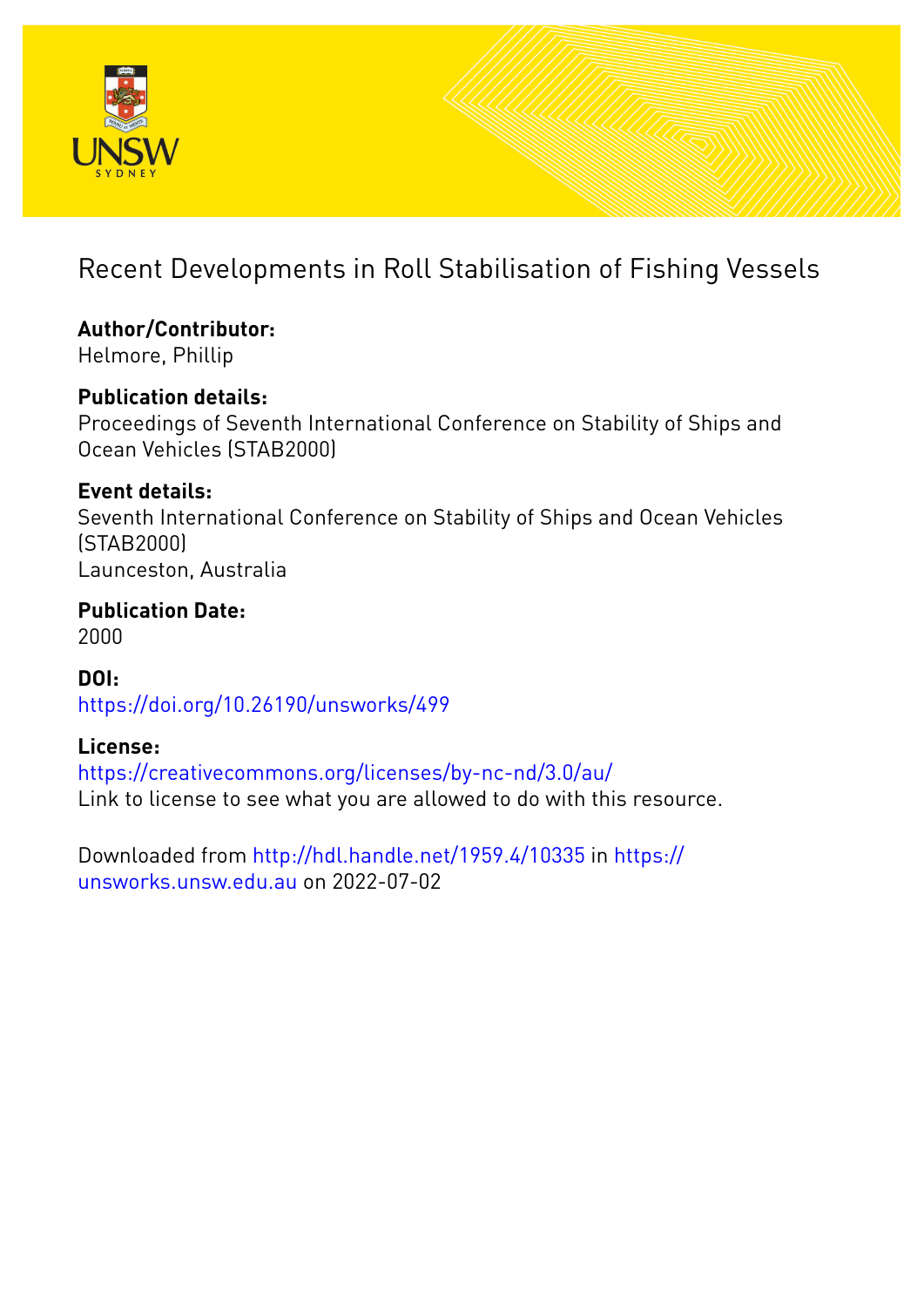

# Recent Developments in Roll Stabilisation of Fishing Vessels

**Author/Contributor:** Helmore, Phillip

## **Publication details:**

Proceedings of Seventh International Conference on Stability of Ships and Ocean Vehicles (STAB2000)

### **Event details:**

Seventh International Conference on Stability of Ships and Ocean Vehicles (STAB2000) Launceston, Australia

**Publication Date:** 2000

**DOI:** [https://doi.org/10.26190/unsworks/499](http://dx.doi.org/https://doi.org/10.26190/unsworks/499)

### **License:**

<https://creativecommons.org/licenses/by-nc-nd/3.0/au/> Link to license to see what you are allowed to do with this resource.

Downloaded from <http://hdl.handle.net/1959.4/10335> in [https://](https://unsworks.unsw.edu.au) [unsworks.unsw.edu.au](https://unsworks.unsw.edu.au) on 2022-07-02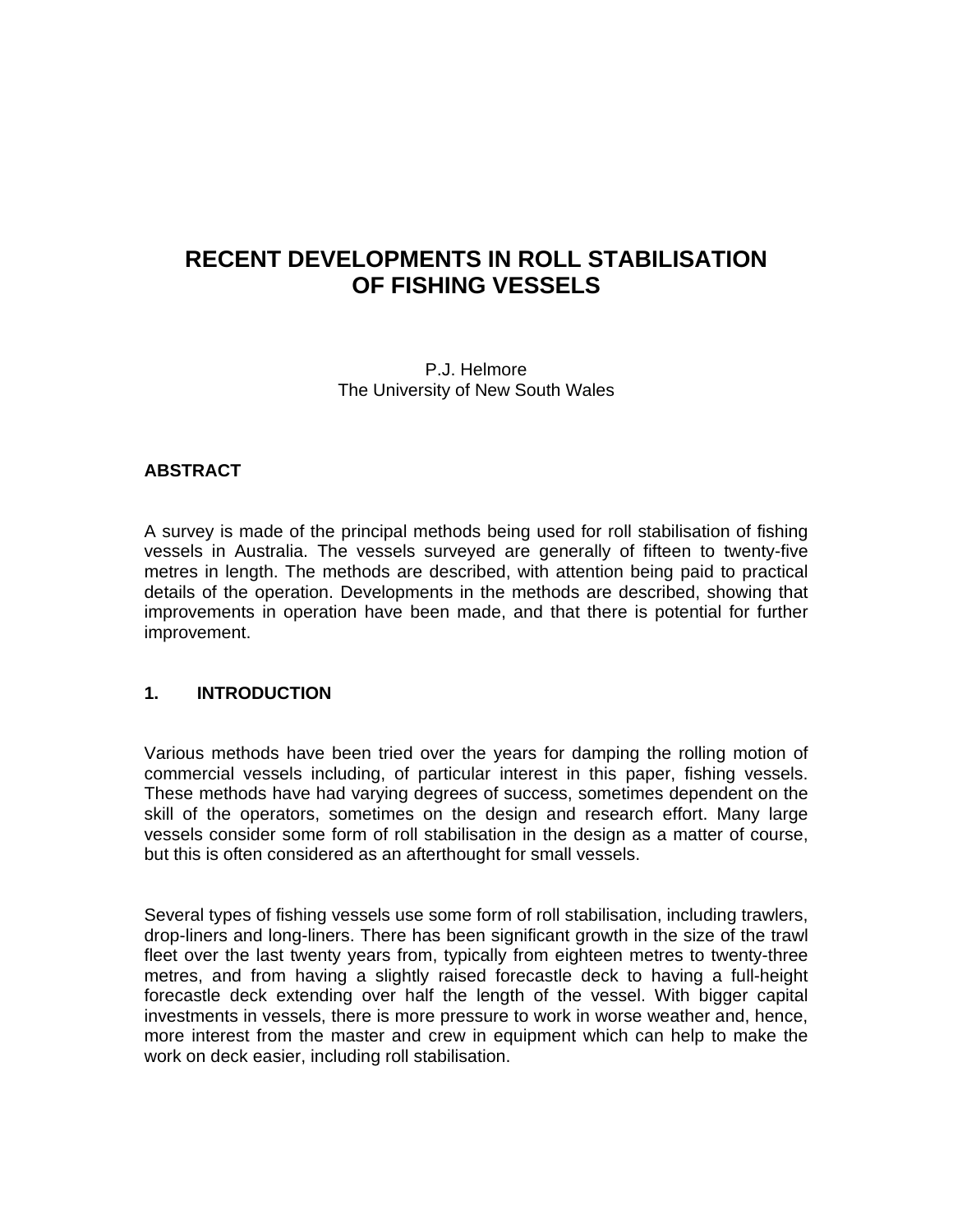### **RECENT DEVELOPMENTS IN ROLL STABILISATION OF FISHING VESSELS**

P.J. Helmore The University of New South Wales

#### **ABSTRACT**

A survey is made of the principal methods being used for roll stabilisation of fishing vessels in Australia. The vessels surveyed are generally of fifteen to twenty-five metres in length. The methods are described, with attention being paid to practical details of the operation. Developments in the methods are described, showing that improvements in operation have been made, and that there is potential for further improvement.

#### **1. INTRODUCTION**

Various methods have been tried over the years for damping the rolling motion of commercial vessels including, of particular interest in this paper, fishing vessels. These methods have had varying degrees of success, sometimes dependent on the skill of the operators, sometimes on the design and research effort. Many large vessels consider some form of roll stabilisation in the design as a matter of course, but this is often considered as an afterthought for small vessels.

Several types of fishing vessels use some form of roll stabilisation, including trawlers, drop-liners and long-liners. There has been significant growth in the size of the trawl fleet over the last twenty years from, typically from eighteen metres to twenty-three metres, and from having a slightly raised forecastle deck to having a full-height forecastle deck extending over half the length of the vessel. With bigger capital investments in vessels, there is more pressure to work in worse weather and, hence, more interest from the master and crew in equipment which can help to make the work on deck easier, including roll stabilisation.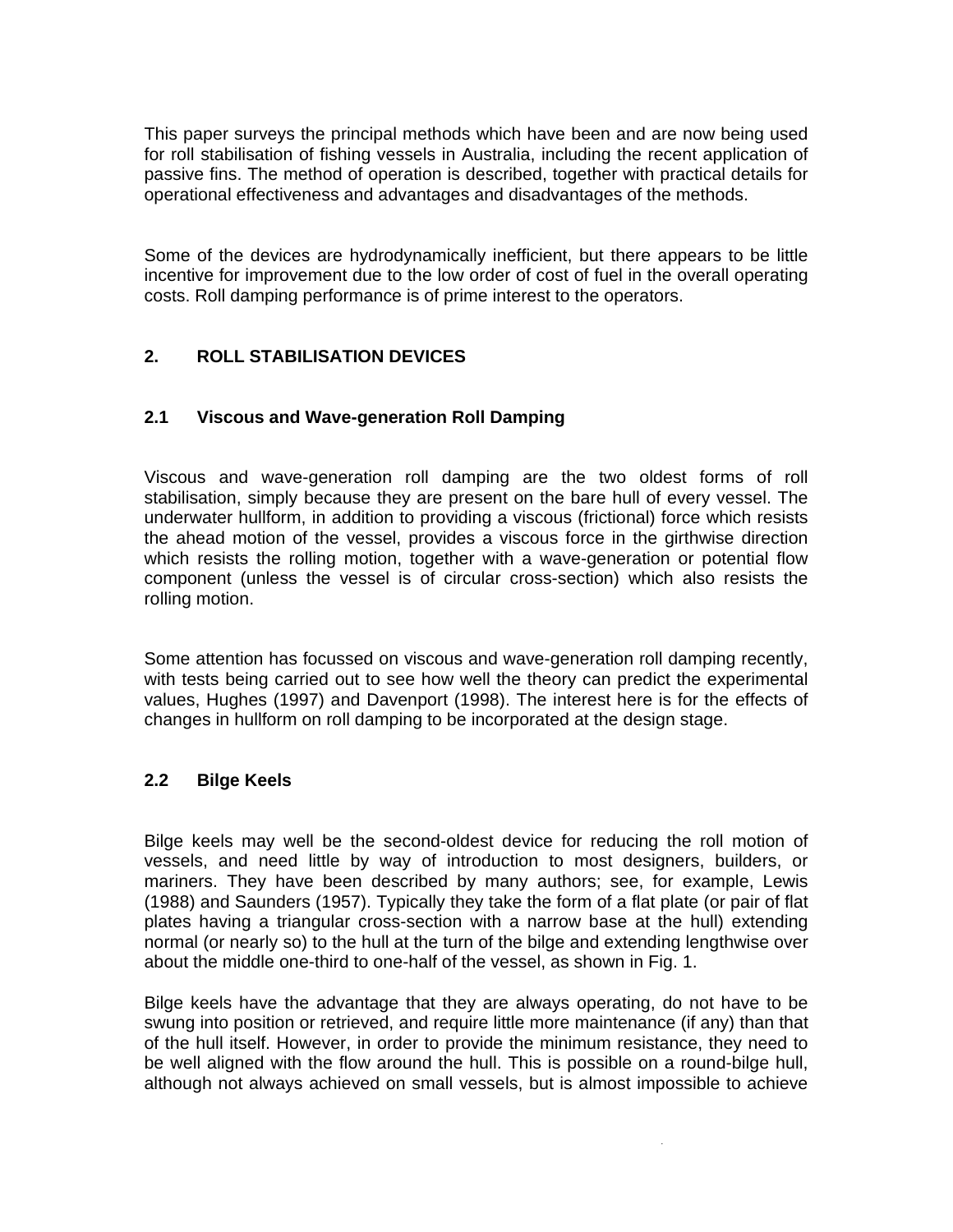This paper surveys the principal methods which have been and are now being used for roll stabilisation of fishing vessels in Australia, including the recent application of passive fins. The method of operation is described, together with practical details for operational effectiveness and advantages and disadvantages of the methods.

Some of the devices are hydrodynamically inefficient, but there appears to be little incentive for improvement due to the low order of cost of fuel in the overall operating costs. Roll damping performance is of prime interest to the operators.

### **2. ROLL STABILISATION DEVICES**

#### **2.1 Viscous and Wave-generation Roll Damping**

Viscous and wave-generation roll damping are the two oldest forms of roll stabilisation, simply because they are present on the bare hull of every vessel. The underwater hullform, in addition to providing a viscous (frictional) force which resists the ahead motion of the vessel, provides a viscous force in the girthwise direction which resists the rolling motion, together with a wave-generation or potential flow component (unless the vessel is of circular cross-section) which also resists the rolling motion.

Some attention has focussed on viscous and wave-generation roll damping recently, with tests being carried out to see how well the theory can predict the experimental values, Hughes (1997) and Davenport (1998). The interest here is for the effects of changes in hullform on roll damping to be incorporated at the design stage.

#### **2.2 Bilge Keels**

Bilge keels may well be the second-oldest device for reducing the roll motion of vessels, and need little by way of introduction to most designers, builders, or mariners. They have been described by many authors; see, for example, Lewis (1988) and Saunders (1957). Typically they take the form of a flat plate (or pair of flat plates having a triangular cross-section with a narrow base at the hull) extending normal (or nearly so) to the hull at the turn of the bilge and extending lengthwise over about the middle one-third to one-half of the vessel, as shown in Fig. 1.

Bilge keels have the advantage that they are always operating, do not have to be swung into position or retrieved, and require little more maintenance (if any) than that of the hull itself. However, in order to provide the minimum resistance, they need to be well aligned with the flow around the hull. This is possible on a round-bilge hull, although not always achieved on small vessels, but is almost impossible to achieve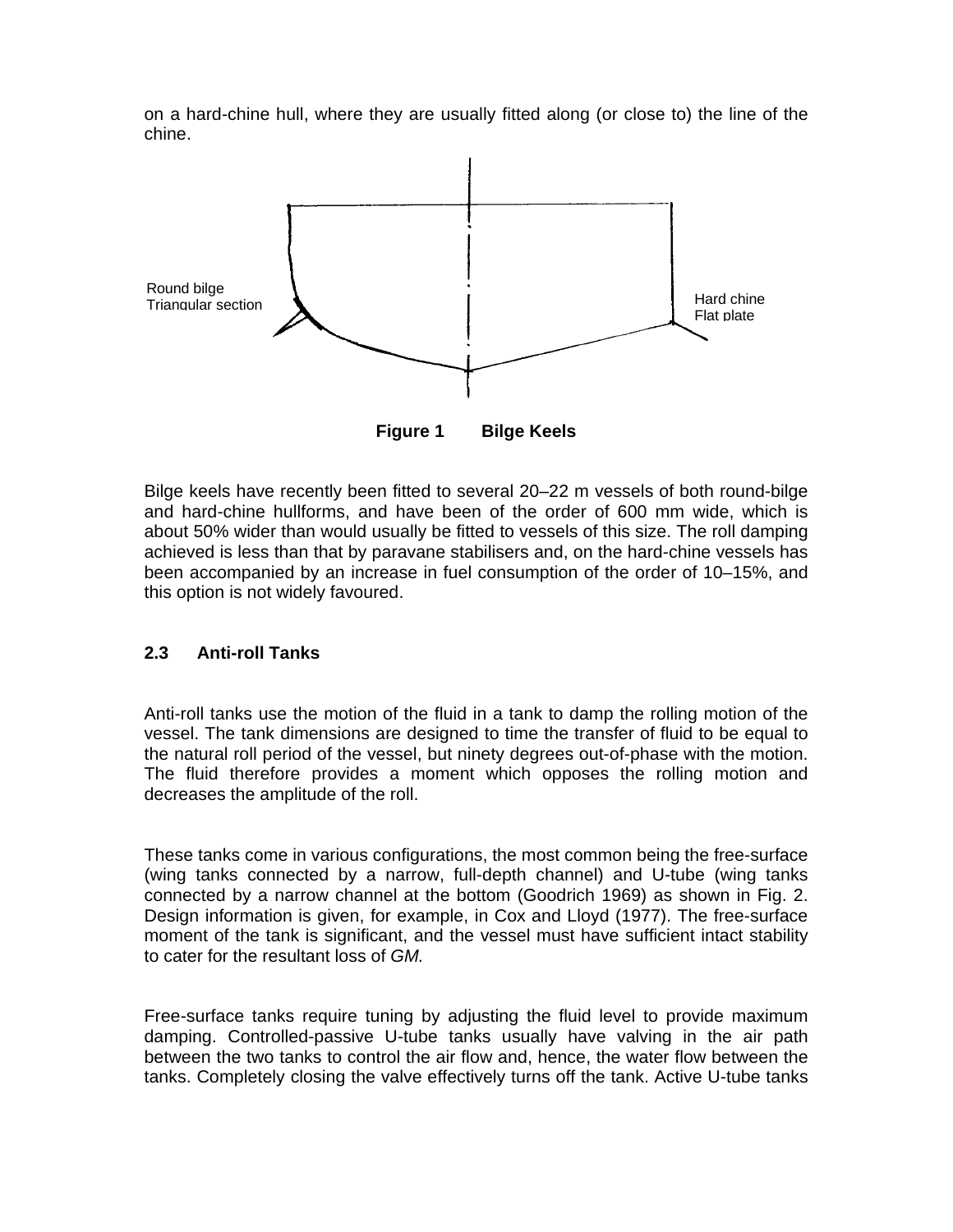on a hard-chine hull, where they are usually fitted along (or close to) the line of the chine.



**Figure 1 Bilge Keels** 

Bilge keels have recently been fitted to several 20–22 m vessels of both round-bilge and hard-chine hullforms, and have been of the order of 600 mm wide, which is about 50% wider than would usually be fitted to vessels of this size. The roll damping achieved is less than that by paravane stabilisers and, on the hard-chine vessels has been accompanied by an increase in fuel consumption of the order of 10–15%, and this option is not widely favoured.

#### **2.3 Anti-roll Tanks**

Anti-roll tanks use the motion of the fluid in a tank to damp the rolling motion of the vessel. The tank dimensions are designed to time the transfer of fluid to be equal to the natural roll period of the vessel, but ninety degrees out-of-phase with the motion. The fluid therefore provides a moment which opposes the rolling motion and decreases the amplitude of the roll.

These tanks come in various configurations, the most common being the free-surface (wing tanks connected by a narrow, full-depth channel) and U-tube (wing tanks connected by a narrow channel at the bottom (Goodrich 1969) as shown in Fig. 2. Design information is given, for example, in Cox and Lloyd (1977). The free-surface moment of the tank is significant, and the vessel must have sufficient intact stability to cater for the resultant loss of *GM.*

Free-surface tanks require tuning by adjusting the fluid level to provide maximum damping. Controlled-passive U-tube tanks usually have valving in the air path between the two tanks to control the air flow and, hence, the water flow between the tanks. Completely closing the valve effectively turns off the tank. Active U-tube tanks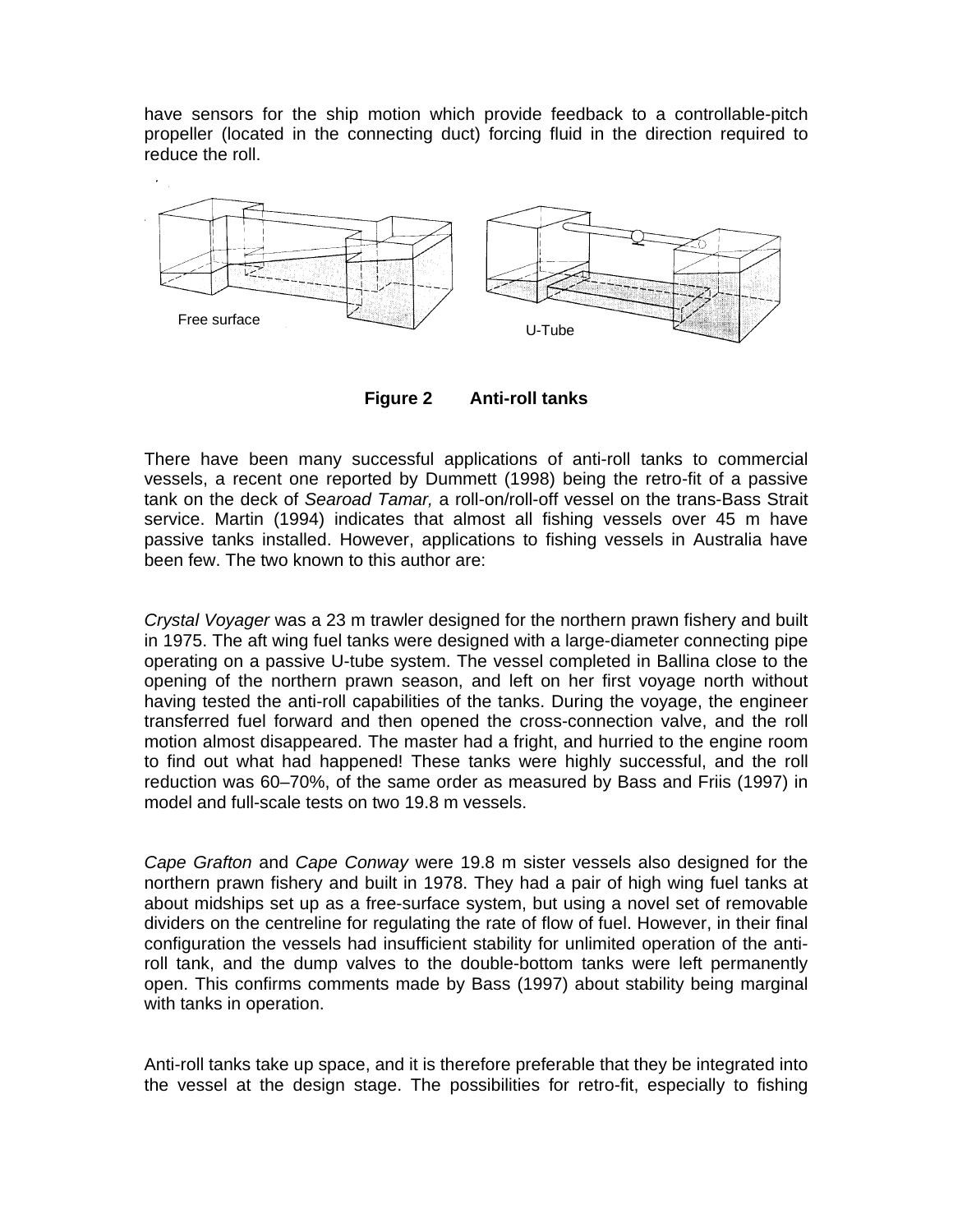have sensors for the ship motion which provide feedback to a controllable-pitch propeller (located in the connecting duct) forcing fluid in the direction required to reduce the roll.



**Figure 2 Anti-roll tanks** 

There have been many successful applications of anti-roll tanks to commercial vessels, a recent one reported by Dummett (1998) being the retro-fit of a passive tank on the deck of *Searoad Tamar,* a roll-on/roll-off vessel on the trans-Bass Strait service. Martin (1994) indicates that almost all fishing vessels over 45 m have passive tanks installed. However, applications to fishing vessels in Australia have been few. The two known to this author are:

*Crystal Voyager* was a 23 m trawler designed for the northern prawn fishery and built in 1975. The aft wing fuel tanks were designed with a large-diameter connecting pipe operating on a passive U-tube system. The vessel completed in Ballina close to the opening of the northern prawn season, and left on her first voyage north without having tested the anti-roll capabilities of the tanks. During the voyage, the engineer transferred fuel forward and then opened the cross-connection valve, and the roll motion almost disappeared. The master had a fright, and hurried to the engine room to find out what had happened! These tanks were highly successful, and the roll reduction was 60–70%, of the same order as measured by Bass and Friis (1997) in model and full-scale tests on two 19.8 m vessels.

*Cape Grafton* and *Cape Conway* were 19.8 m sister vessels also designed for the northern prawn fishery and built in 1978. They had a pair of high wing fuel tanks at about midships set up as a free-surface system, but using a novel set of removable dividers on the centreline for regulating the rate of flow of fuel. However, in their final configuration the vessels had insufficient stability for unlimited operation of the antiroll tank, and the dump valves to the double-bottom tanks were left permanently open. This confirms comments made by Bass (1997) about stability being marginal with tanks in operation.

Anti-roll tanks take up space, and it is therefore preferable that they be integrated into the vessel at the design stage. The possibilities for retro-fit, especially to fishing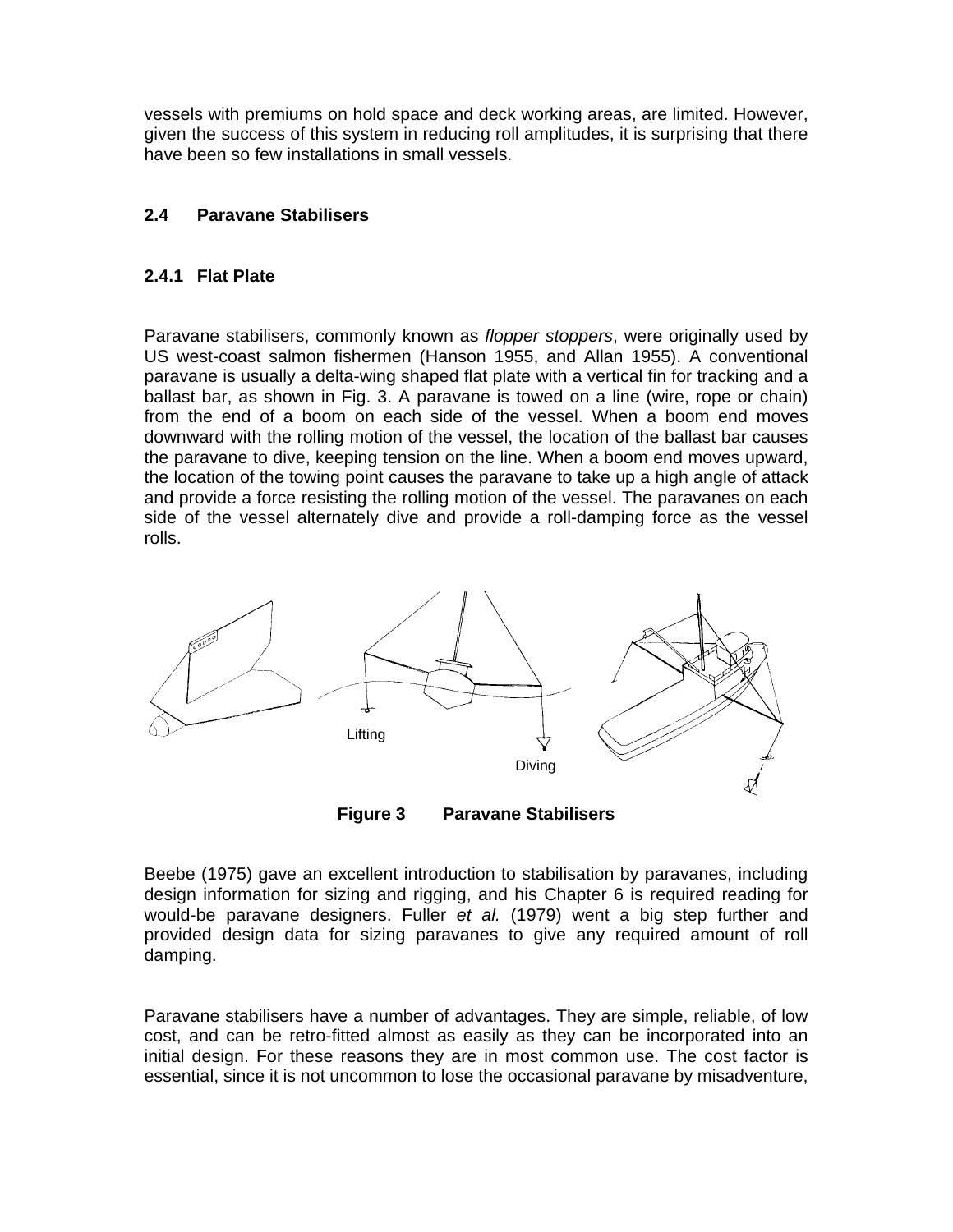vessels with premiums on hold space and deck working areas, are limited. However, given the success of this system in reducing roll amplitudes, it is surprising that there have been so few installations in small vessels.

#### **2.4 Paravane Stabilisers**

#### **2.4.1 Flat Plate**

Paravane stabilisers, commonly known as *flopper stoppers*, were originally used by US west-coast salmon fishermen (Hanson 1955, and Allan 1955). A conventional paravane is usually a delta-wing shaped flat plate with a vertical fin for tracking and a ballast bar, as shown in Fig. 3. A paravane is towed on a line (wire, rope or chain) from the end of a boom on each side of the vessel. When a boom end moves downward with the rolling motion of the vessel, the location of the ballast bar causes the paravane to dive, keeping tension on the line. When a boom end moves upward, the location of the towing point causes the paravane to take up a high angle of attack and provide a force resisting the rolling motion of the vessel. The paravanes on each side of the vessel alternately dive and provide a roll-damping force as the vessel rolls.



**Figure 3 Paravane Stabilisers** 

Beebe (1975) gave an excellent introduction to stabilisation by paravanes, including design information for sizing and rigging, and his Chapter 6 is required reading for would-be paravane designers. Fuller *et al.* (1979) went a big step further and provided design data for sizing paravanes to give any required amount of roll damping.

Paravane stabilisers have a number of advantages. They are simple, reliable, of low cost, and can be retro-fitted almost as easily as they can be incorporated into an initial design. For these reasons they are in most common use. The cost factor is essential, since it is not uncommon to lose the occasional paravane by misadventure,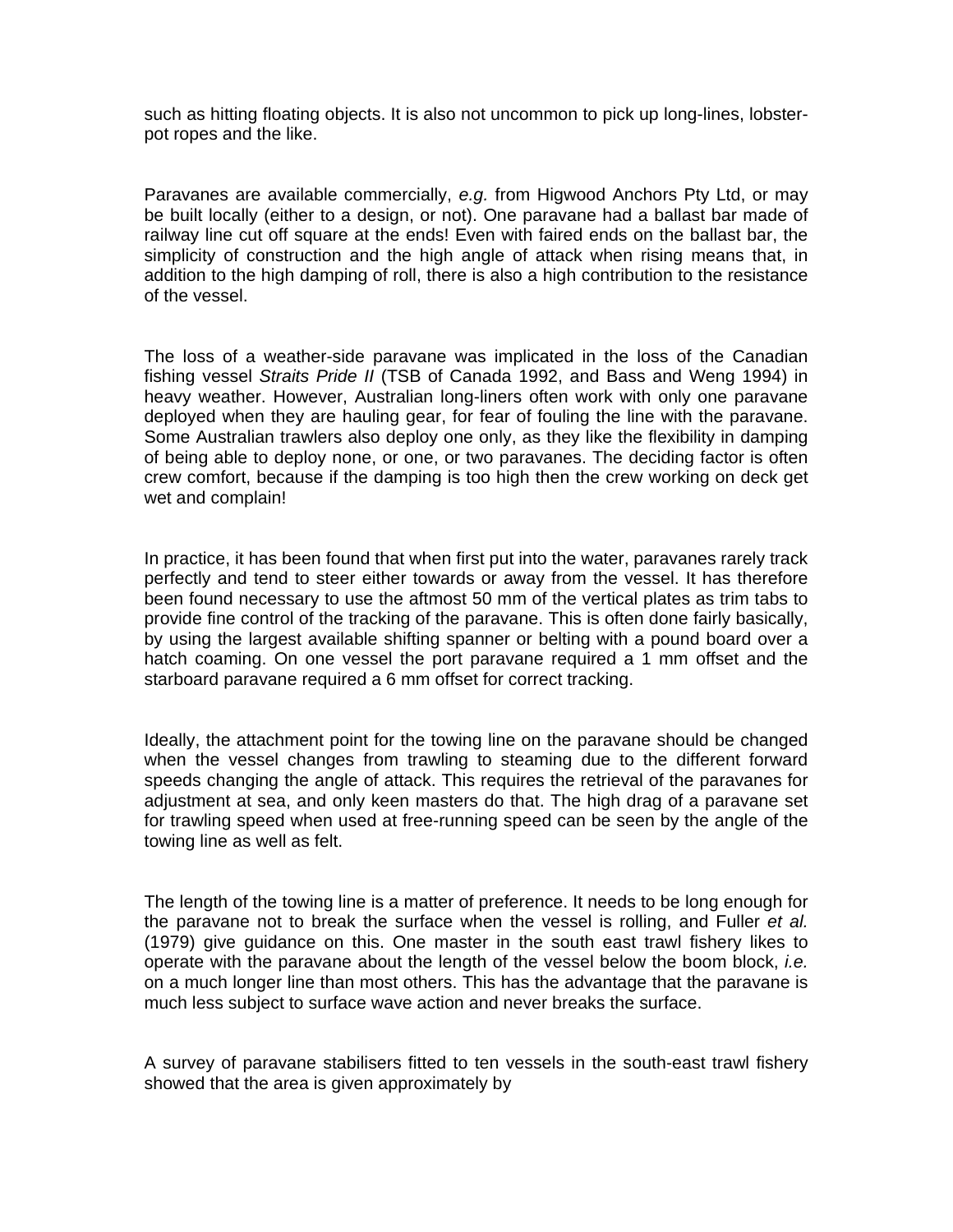such as hitting floating objects. It is also not uncommon to pick up long-lines, lobsterpot ropes and the like.

Paravanes are available commercially, *e.g.* from Higwood Anchors Pty Ltd, or may be built locally (either to a design, or not). One paravane had a ballast bar made of railway line cut off square at the ends! Even with faired ends on the ballast bar, the simplicity of construction and the high angle of attack when rising means that, in addition to the high damping of roll, there is also a high contribution to the resistance of the vessel.

The loss of a weather-side paravane was implicated in the loss of the Canadian fishing vessel *Straits Pride II* (TSB of Canada 1992, and Bass and Weng 1994) in heavy weather. However, Australian long-liners often work with only one paravane deployed when they are hauling gear, for fear of fouling the line with the paravane. Some Australian trawlers also deploy one only, as they like the flexibility in damping of being able to deploy none, or one, or two paravanes. The deciding factor is often crew comfort, because if the damping is too high then the crew working on deck get wet and complain!

In practice, it has been found that when first put into the water, paravanes rarely track perfectly and tend to steer either towards or away from the vessel. It has therefore been found necessary to use the aftmost 50 mm of the vertical plates as trim tabs to provide fine control of the tracking of the paravane. This is often done fairly basically, by using the largest available shifting spanner or belting with a pound board over a hatch coaming. On one vessel the port paravane required a 1 mm offset and the starboard paravane required a 6 mm offset for correct tracking.

Ideally, the attachment point for the towing line on the paravane should be changed when the vessel changes from trawling to steaming due to the different forward speeds changing the angle of attack. This requires the retrieval of the paravanes for adjustment at sea, and only keen masters do that. The high drag of a paravane set for trawling speed when used at free-running speed can be seen by the angle of the towing line as well as felt.

The length of the towing line is a matter of preference. It needs to be long enough for the paravane not to break the surface when the vessel is rolling, and Fuller *et al.*  (1979) give guidance on this. One master in the south east trawl fishery likes to operate with the paravane about the length of the vessel below the boom block, *i.e.*  on a much longer line than most others. This has the advantage that the paravane is much less subject to surface wave action and never breaks the surface.

A survey of paravane stabilisers fitted to ten vessels in the south-east trawl fishery showed that the area is given approximately by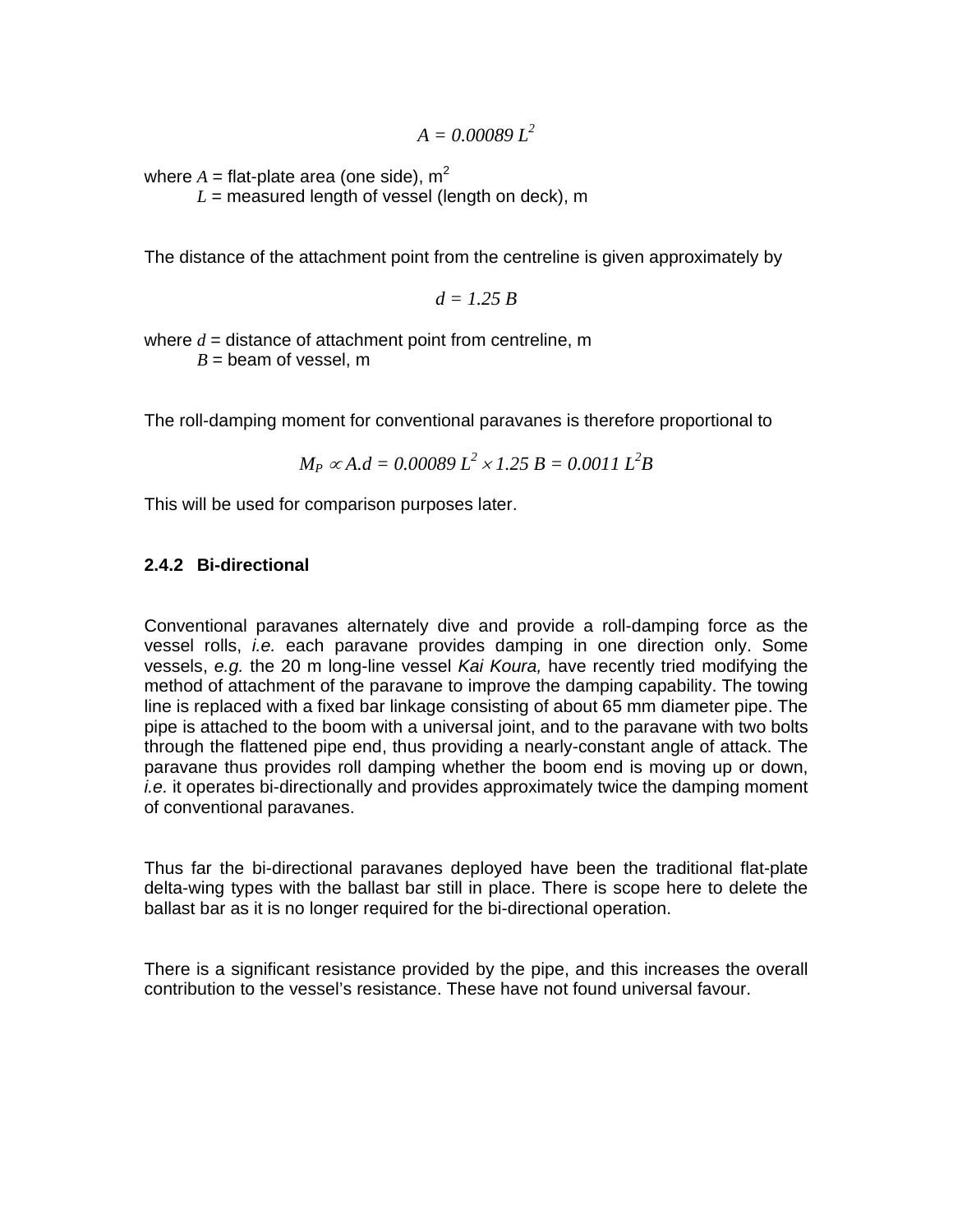$A = 0.00089 I^2$ 

where  $A =$  flat-plate area (one side),  $m^2$ 

 $L =$  measured length of vessel (length on deck), m

The distance of the attachment point from the centreline is given approximately by

 $d = 1.25 B$ 

where *d* = distance of attachment point from centreline, m  $B =$  beam of vessel, m

The roll-damping moment for conventional paravanes is therefore proportional to

$$
M_P \propto A.d = 0.00089 L^2 \times 1.25 B = 0.0011 L^2B
$$

This will be used for comparison purposes later.

#### **2.4.2 Bi-directional**

Conventional paravanes alternately dive and provide a roll-damping force as the vessel rolls, *i.e.* each paravane provides damping in one direction only. Some vessels, *e.g.* the 20 m long-line vessel *Kai Koura,* have recently tried modifying the method of attachment of the paravane to improve the damping capability. The towing line is replaced with a fixed bar linkage consisting of about 65 mm diameter pipe. The pipe is attached to the boom with a universal joint, and to the paravane with two bolts through the flattened pipe end, thus providing a nearly-constant angle of attack. The paravane thus provides roll damping whether the boom end is moving up or down, *i.e.* it operates bi-directionally and provides approximately twice the damping moment of conventional paravanes.

Thus far the bi-directional paravanes deployed have been the traditional flat-plate delta-wing types with the ballast bar still in place. There is scope here to delete the ballast bar as it is no longer required for the bi-directional operation.

There is a significant resistance provided by the pipe, and this increases the overall contribution to the vessel's resistance. These have not found universal favour.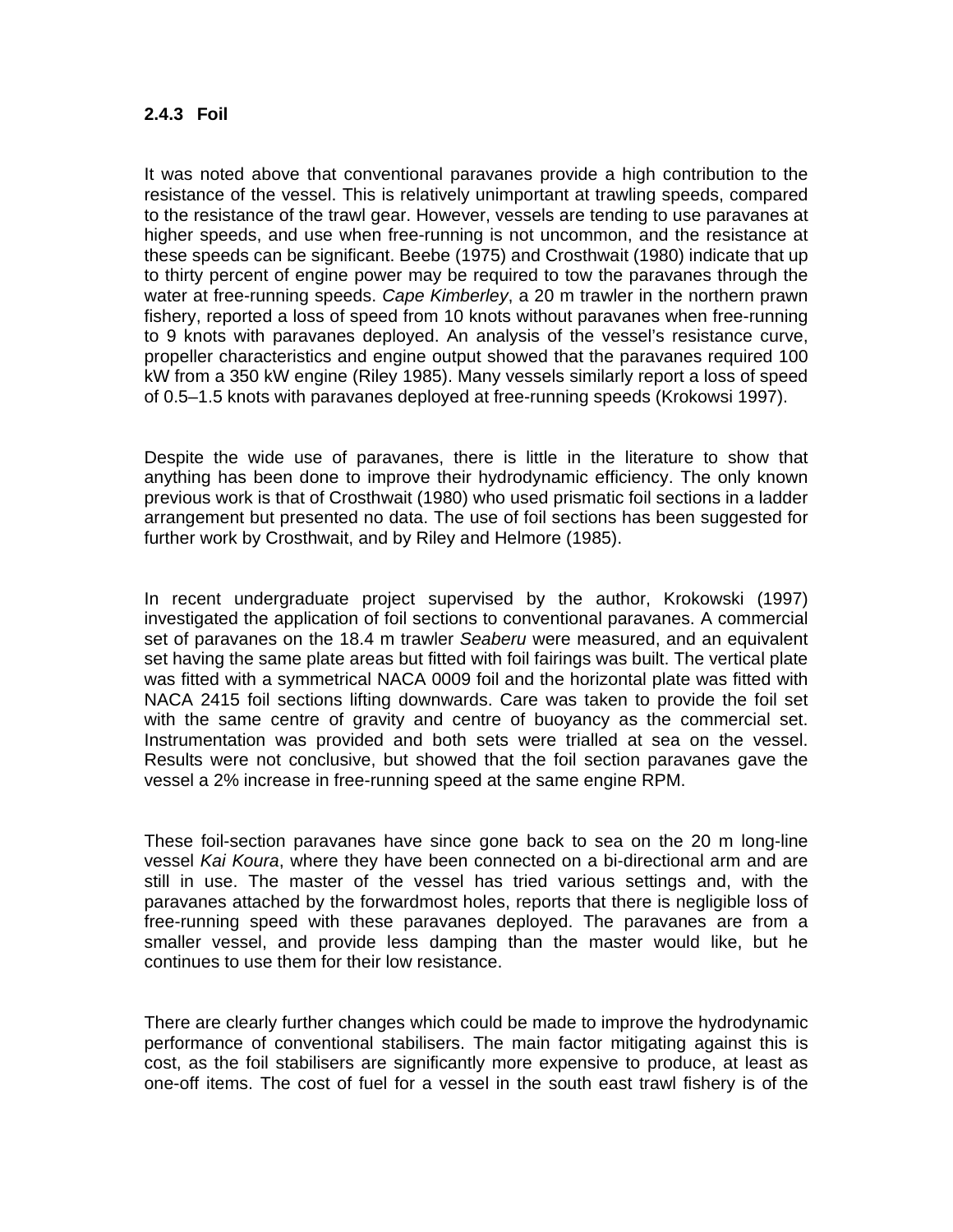#### **2.4.3 Foil**

It was noted above that conventional paravanes provide a high contribution to the resistance of the vessel. This is relatively unimportant at trawling speeds, compared to the resistance of the trawl gear. However, vessels are tending to use paravanes at higher speeds, and use when free-running is not uncommon, and the resistance at these speeds can be significant. Beebe (1975) and Crosthwait (1980) indicate that up to thirty percent of engine power may be required to tow the paravanes through the water at free-running speeds. *Cape Kimberley*, a 20 m trawler in the northern prawn fishery, reported a loss of speed from 10 knots without paravanes when free-running to 9 knots with paravanes deployed. An analysis of the vessel's resistance curve, propeller characteristics and engine output showed that the paravanes required 100 kW from a 350 kW engine (Riley 1985). Many vessels similarly report a loss of speed of 0.5–1.5 knots with paravanes deployed at free-running speeds (Krokowsi 1997).

Despite the wide use of paravanes, there is little in the literature to show that anything has been done to improve their hydrodynamic efficiency. The only known previous work is that of Crosthwait (1980) who used prismatic foil sections in a ladder arrangement but presented no data. The use of foil sections has been suggested for further work by Crosthwait, and by Riley and Helmore (1985).

In recent undergraduate project supervised by the author, Krokowski (1997) investigated the application of foil sections to conventional paravanes. A commercial set of paravanes on the 18.4 m trawler *Seaberu* were measured, and an equivalent set having the same plate areas but fitted with foil fairings was built. The vertical plate was fitted with a symmetrical NACA 0009 foil and the horizontal plate was fitted with NACA 2415 foil sections lifting downwards. Care was taken to provide the foil set with the same centre of gravity and centre of buoyancy as the commercial set. Instrumentation was provided and both sets were trialled at sea on the vessel. Results were not conclusive, but showed that the foil section paravanes gave the vessel a 2% increase in free-running speed at the same engine RPM.

These foil-section paravanes have since gone back to sea on the 20 m long-line vessel *Kai Koura*, where they have been connected on a bi-directional arm and are still in use. The master of the vessel has tried various settings and, with the paravanes attached by the forwardmost holes, reports that there is negligible loss of free-running speed with these paravanes deployed. The paravanes are from a smaller vessel, and provide less damping than the master would like, but he continues to use them for their low resistance.

There are clearly further changes which could be made to improve the hydrodynamic performance of conventional stabilisers. The main factor mitigating against this is cost, as the foil stabilisers are significantly more expensive to produce, at least as one-off items. The cost of fuel for a vessel in the south east trawl fishery is of the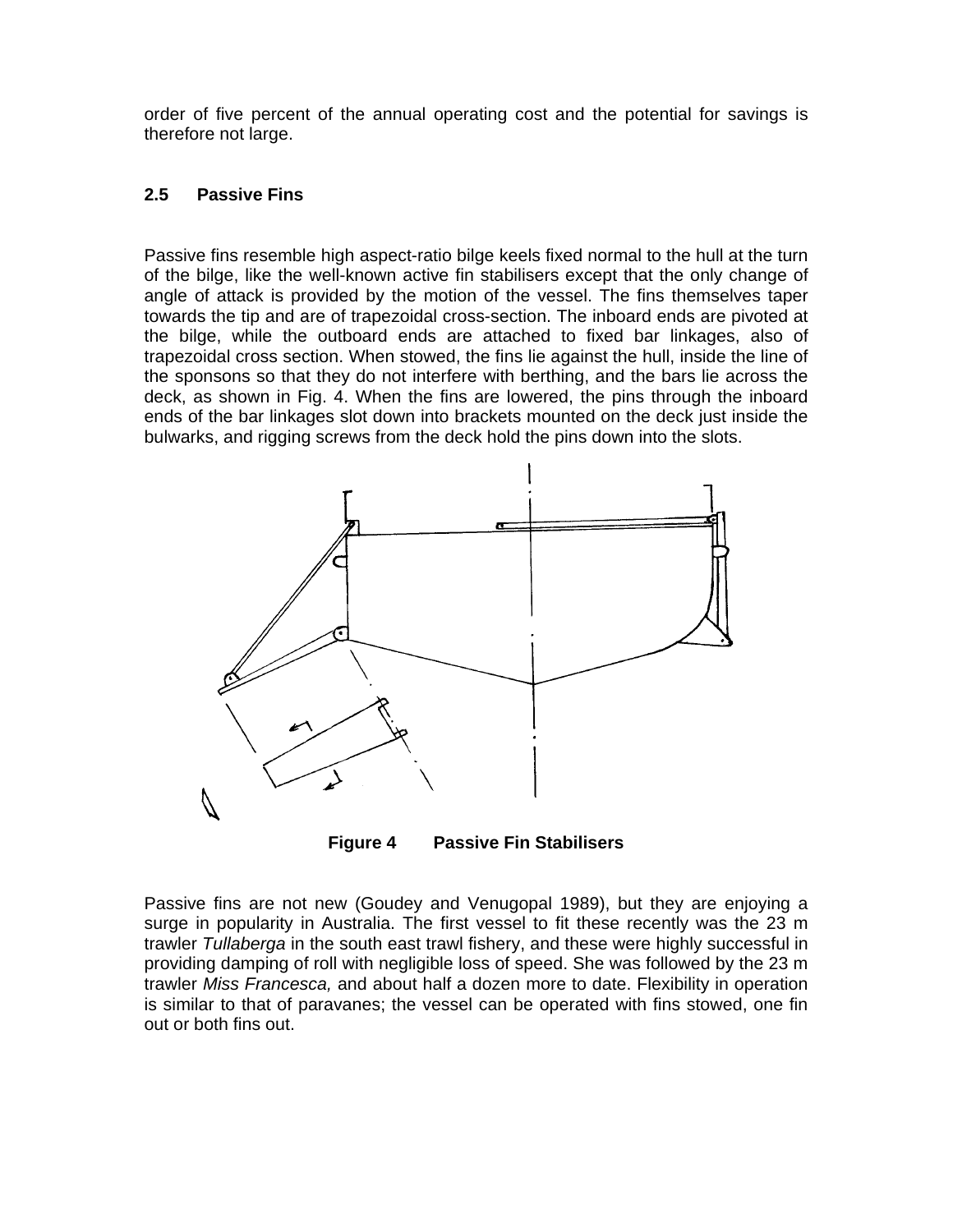order of five percent of the annual operating cost and the potential for savings is therefore not large.

#### **2.5 Passive Fins**

Passive fins resemble high aspect-ratio bilge keels fixed normal to the hull at the turn of the bilge, like the well-known active fin stabilisers except that the only change of angle of attack is provided by the motion of the vessel. The fins themselves taper towards the tip and are of trapezoidal cross-section. The inboard ends are pivoted at the bilge, while the outboard ends are attached to fixed bar linkages, also of trapezoidal cross section. When stowed, the fins lie against the hull, inside the line of the sponsons so that they do not interfere with berthing, and the bars lie across the deck, as shown in Fig. 4. When the fins are lowered, the pins through the inboard ends of the bar linkages slot down into brackets mounted on the deck just inside the bulwarks, and rigging screws from the deck hold the pins down into the slots.



**Figure 4 Passive Fin Stabilisers** 

Passive fins are not new (Goudey and Venugopal 1989), but they are enjoying a surge in popularity in Australia. The first vessel to fit these recently was the 23 m trawler *Tullaberga* in the south east trawl fishery, and these were highly successful in providing damping of roll with negligible loss of speed. She was followed by the 23 m trawler *Miss Francesca,* and about half a dozen more to date. Flexibility in operation is similar to that of paravanes; the vessel can be operated with fins stowed, one fin out or both fins out.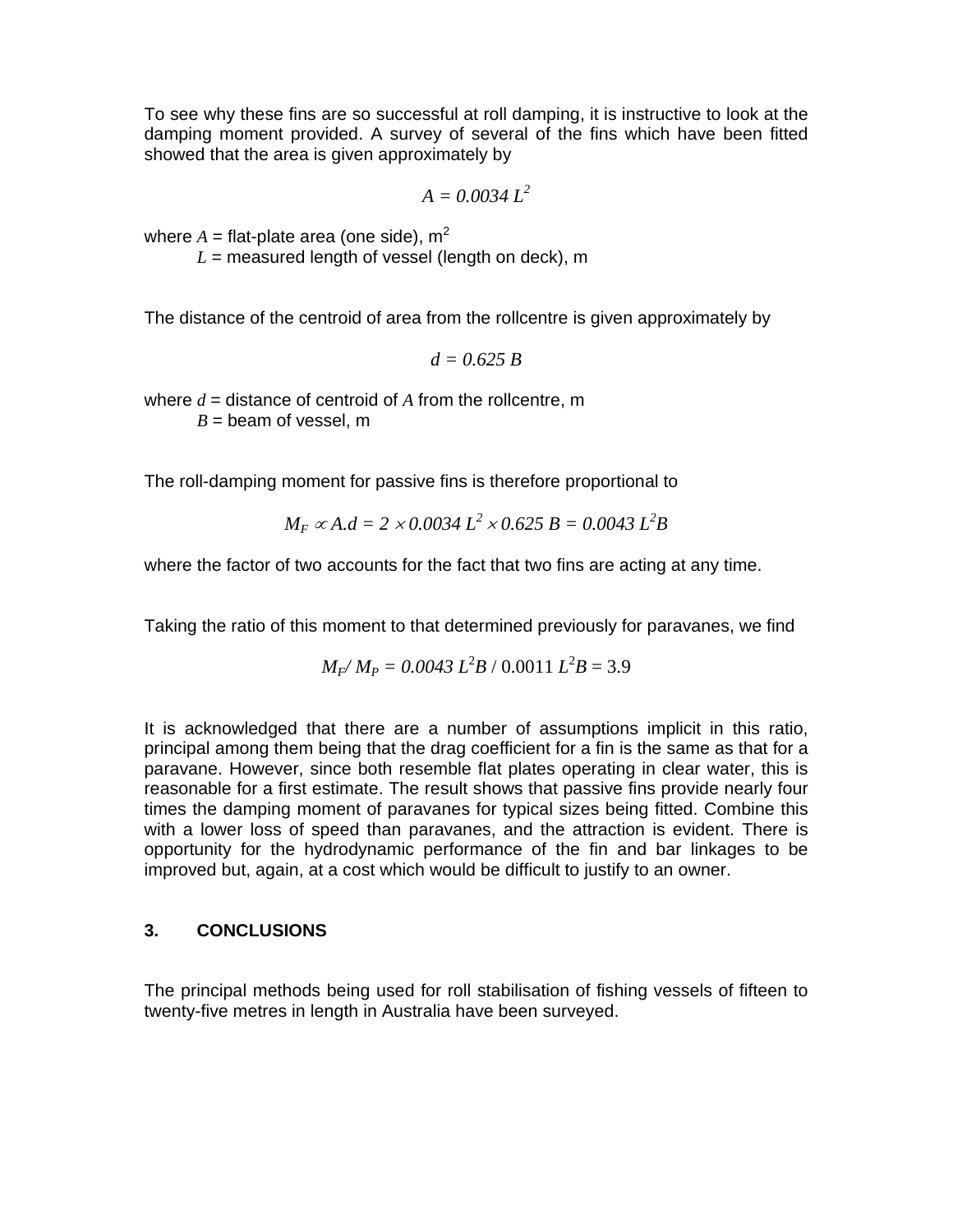To see why these fins are so successful at roll damping, it is instructive to look at the damping moment provided. A survey of several of the fins which have been fitted showed that the area is given approximately by

$$
A=0.0034\,L^2
$$

where  $A =$  flat-plate area (one side),  $m^2$ 

 $L =$  measured length of vessel (length on deck), m

The distance of the centroid of area from the rollcentre is given approximately by

$$
d=0.625\ B
$$

where *d* = distance of centroid of *A* from the rollcentre, m  $B =$  beam of vessel, m

The roll-damping moment for passive fins is therefore proportional to

$$
M_F \propto A.d = 2 \times 0.0034 L^2 \times 0.625 B = 0.0043 L^2B
$$

where the factor of two accounts for the fact that two fins are acting at any time.

Taking the ratio of this moment to that determined previously for paravanes, we find

$$
M_F/M_P = 0.0043 L^2B / 0.0011 L^2B = 3.9
$$

It is acknowledged that there are a number of assumptions implicit in this ratio, principal among them being that the drag coefficient for a fin is the same as that for a paravane. However, since both resemble flat plates operating in clear water, this is reasonable for a first estimate. The result shows that passive fins provide nearly four times the damping moment of paravanes for typical sizes being fitted. Combine this with a lower loss of speed than paravanes, and the attraction is evident. There is opportunity for the hydrodynamic performance of the fin and bar linkages to be improved but, again, at a cost which would be difficult to justify to an owner.

#### **3. CONCLUSIONS**

The principal methods being used for roll stabilisation of fishing vessels of fifteen to twenty-five metres in length in Australia have been surveyed.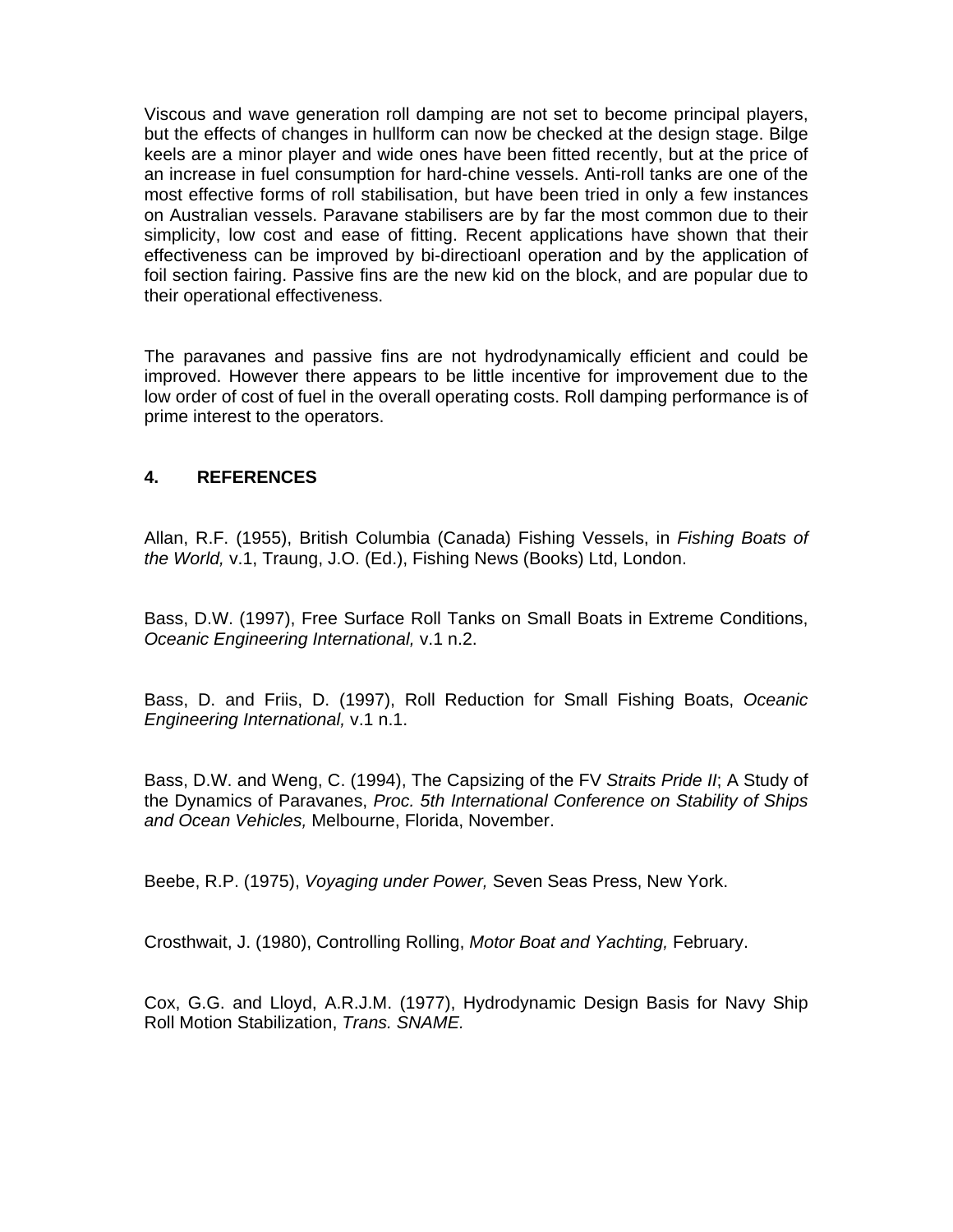Viscous and wave generation roll damping are not set to become principal players, but the effects of changes in hullform can now be checked at the design stage. Bilge keels are a minor player and wide ones have been fitted recently, but at the price of an increase in fuel consumption for hard-chine vessels. Anti-roll tanks are one of the most effective forms of roll stabilisation, but have been tried in only a few instances on Australian vessels. Paravane stabilisers are by far the most common due to their simplicity, low cost and ease of fitting. Recent applications have shown that their effectiveness can be improved by bi-directioanl operation and by the application of foil section fairing. Passive fins are the new kid on the block, and are popular due to their operational effectiveness.

The paravanes and passive fins are not hydrodynamically efficient and could be improved. However there appears to be little incentive for improvement due to the low order of cost of fuel in the overall operating costs. Roll damping performance is of prime interest to the operators.

#### **4. REFERENCES**

Allan, R.F. (1955), British Columbia (Canada) Fishing Vessels, in *Fishing Boats of the World,* v.1, Traung, J.O. (Ed.), Fishing News (Books) Ltd, London.

Bass, D.W. (1997), Free Surface Roll Tanks on Small Boats in Extreme Conditions, *Oceanic Engineering International,* v.1 n.2.

Bass, D. and Friis, D. (1997), Roll Reduction for Small Fishing Boats, *Oceanic Engineering International,* v.1 n.1.

Bass, D.W. and Weng, C. (1994), The Capsizing of the FV *Straits Pride II*; A Study of the Dynamics of Paravanes, *Proc. 5th International Conference on Stability of Ships and Ocean Vehicles,* Melbourne, Florida, November.

Beebe, R.P. (1975), *Voyaging under Power,* Seven Seas Press, New York.

Crosthwait, J. (1980), Controlling Rolling, *Motor Boat and Yachting,* February.

Cox, G.G. and Lloyd, A.R.J.M. (1977), Hydrodynamic Design Basis for Navy Ship Roll Motion Stabilization, *Trans. SNAME.*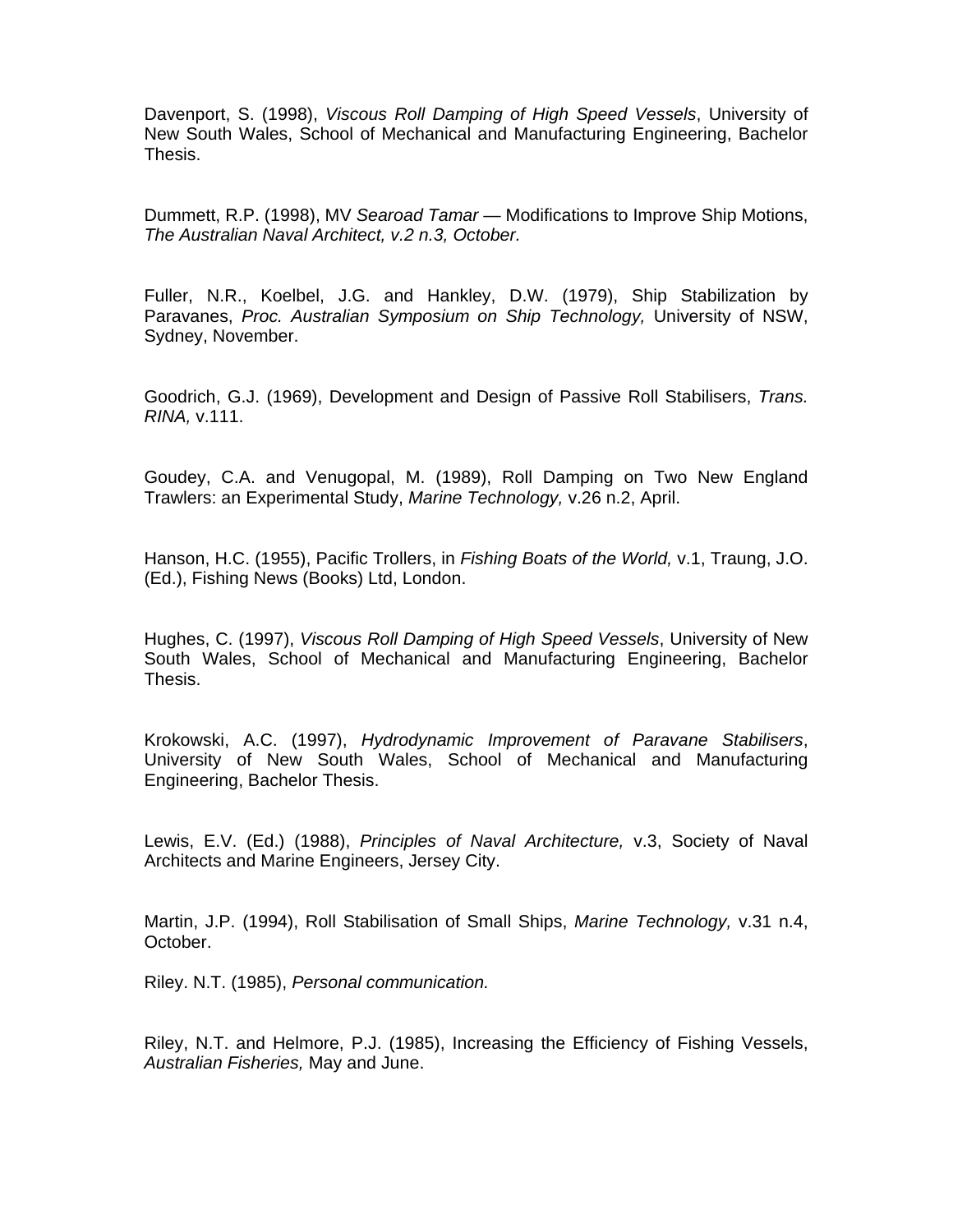Davenport, S. (1998), *Viscous Roll Damping of High Speed Vessels*, University of New South Wales, School of Mechanical and Manufacturing Engineering, Bachelor Thesis.

Dummett, R.P. (1998), MV *Searoad Tamar* — Modifications to Improve Ship Motions, *The Australian Naval Architect, v.2 n.3, October.* 

Fuller, N.R., Koelbel, J.G. and Hankley, D.W. (1979), Ship Stabilization by Paravanes, *Proc. Australian Symposium on Ship Technology,* University of NSW, Sydney, November.

Goodrich, G.J. (1969), Development and Design of Passive Roll Stabilisers, *Trans. RINA,* v.111.

Goudey, C.A. and Venugopal, M. (1989), Roll Damping on Two New England Trawlers: an Experimental Study, *Marine Technology,* v.26 n.2, April.

Hanson, H.C. (1955), Pacific Trollers, in *Fishing Boats of the World,* v.1, Traung, J.O. (Ed.), Fishing News (Books) Ltd, London.

Hughes, C. (1997), *Viscous Roll Damping of High Speed Vessels*, University of New South Wales, School of Mechanical and Manufacturing Engineering, Bachelor Thesis.

Krokowski, A.C. (1997), *Hydrodynamic Improvement of Paravane Stabilisers*, University of New South Wales, School of Mechanical and Manufacturing Engineering, Bachelor Thesis.

Lewis, E.V. (Ed.) (1988), *Principles of Naval Architecture,* v.3, Society of Naval Architects and Marine Engineers, Jersey City.

Martin, J.P. (1994), Roll Stabilisation of Small Ships, *Marine Technology,* v.31 n.4, October.

Riley. N.T. (1985), *Personal communication.* 

Riley, N.T. and Helmore, P.J. (1985), Increasing the Efficiency of Fishing Vessels, *Australian Fisheries,* May and June.